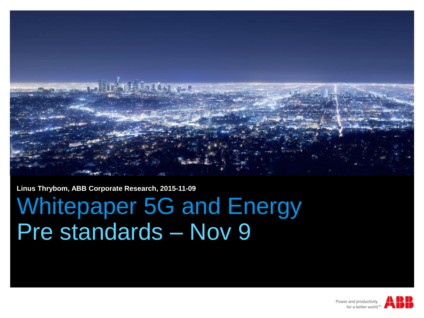

**Linus Thrybom, ABB Corporate Research, 2015-11-09**

## Whitepaper 5G and Energy Pre standards – Nov 9

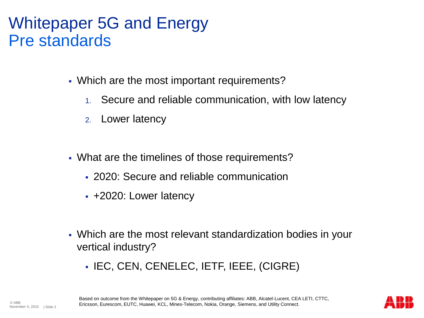## Whitepaper 5G and Energy Pre standards

- Which are the most important requirements?
	- 1. Secure and reliable communication, with low latency
	- 2. Lower latency
- What are the timelines of those requirements?
	- 2020: Secure and reliable communication
	- +2020: Lower latency
- Which are the most relevant standardization bodies in your vertical industry?
	- IEC, CEN, CENELEC, IETF, IEEE, (CIGRE)

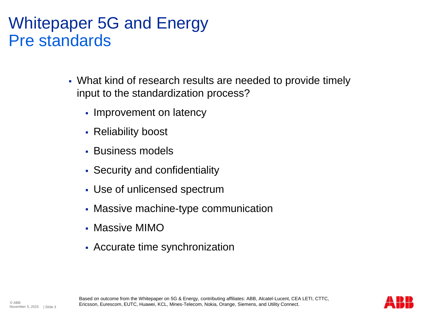## Whitepaper 5G and Energy Pre standards

- What kind of research results are needed to provide timely input to the standardization process?
	- Improvement on latency
	- Reliability boost
	- Business models
	- Security and confidentiality
	- Use of unlicensed spectrum
	- Massive machine-type communication
	- Massive MIMO
	- Accurate time synchronization